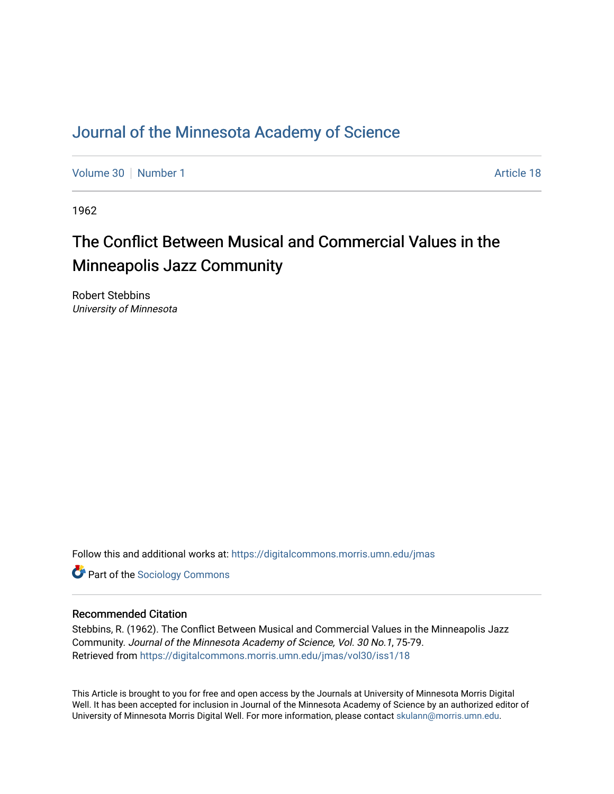### [Journal of the Minnesota Academy of Science](https://digitalcommons.morris.umn.edu/jmas)

[Volume 30](https://digitalcommons.morris.umn.edu/jmas/vol30) [Number 1](https://digitalcommons.morris.umn.edu/jmas/vol30/iss1) Article 18

1962

# The Conflict Between Musical and Commercial Values in the Minneapolis Jazz Community

Robert Stebbins University of Minnesota

Follow this and additional works at: [https://digitalcommons.morris.umn.edu/jmas](https://digitalcommons.morris.umn.edu/jmas?utm_source=digitalcommons.morris.umn.edu%2Fjmas%2Fvol30%2Fiss1%2F18&utm_medium=PDF&utm_campaign=PDFCoverPages) 

**Part of the [Sociology Commons](https://network.bepress.com/hgg/discipline/416?utm_source=digitalcommons.morris.umn.edu%2Fjmas%2Fvol30%2Fiss1%2F18&utm_medium=PDF&utm_campaign=PDFCoverPages)** 

#### Recommended Citation

Stebbins, R. (1962). The Conflict Between Musical and Commercial Values in the Minneapolis Jazz Community. Journal of the Minnesota Academy of Science, Vol. 30 No.1, 75-79. Retrieved from [https://digitalcommons.morris.umn.edu/jmas/vol30/iss1/18](https://digitalcommons.morris.umn.edu/jmas/vol30/iss1/18?utm_source=digitalcommons.morris.umn.edu%2Fjmas%2Fvol30%2Fiss1%2F18&utm_medium=PDF&utm_campaign=PDFCoverPages) 

This Article is brought to you for free and open access by the Journals at University of Minnesota Morris Digital Well. It has been accepted for inclusion in Journal of the Minnesota Academy of Science by an authorized editor of University of Minnesota Morris Digital Well. For more information, please contact [skulann@morris.umn.edu](mailto:skulann@morris.umn.edu).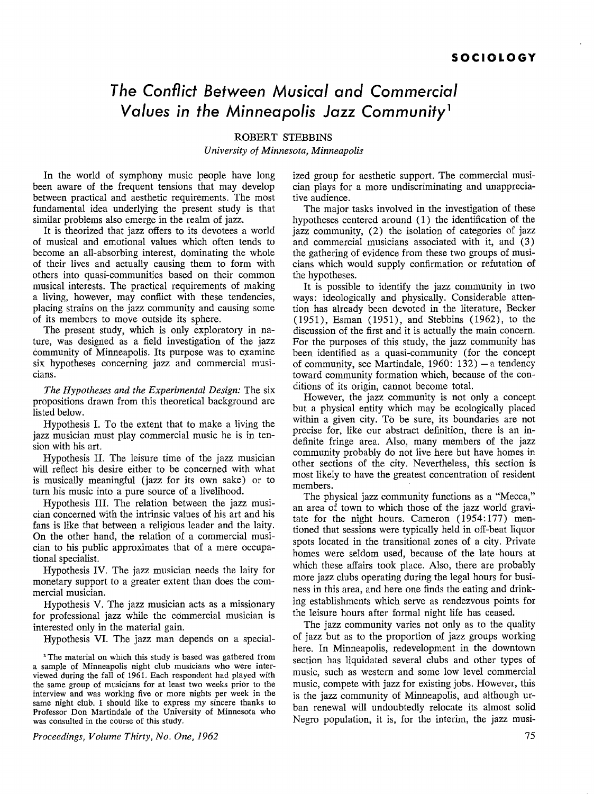## *The Conflict Between Musical and Commercial Values in the Minneapolis* **Jazz** *Community* <sup>1</sup>

ROBERT STEBBINS

*University of Minnesota, Minneapolis* 

In the world of symphony music people have long been aware of the frequent tensions that may develop between practical and aesthetic requirements. The most fundamental idea underlying the present study is that similar problems also emerge in the realm of jazz.

It is theorized that jazz offers to its devotees a world of musical and emotional values which often tends to become an all-absorbing interest, dominating the whole of their lives and actually causing them to form with others into quasi-communities based on their common musical interests. The practical requirements of making a living, however, may conflict with these tendencies, placing strains on the jazz community and causing some of its members to move outside its sphere.

The present study, which is only exploratory in nature, was designed as a field investigation of the jazz community of Minneapolis. Its purpose was to examine six hypotheses concerning jazz and commercial musicians.

*The Hypotheses and the Experimental Design:* The six propositions drawn from this theoretical background are listed below.

Hypothesis I. To the extent that to make a living the jazz musician must play commercial music he is in tension with his art.

Hypothesis II. The leisure time of the jazz musician will reflect his desire either to be concerned with what is musically meaningful (jazz for its own sake) or to turn his music into a pure source of a livelihood.

Hypothesis III. The relation between the jazz musician concerned with the intrinsic values of his art and his fans is like that between a religious leader and the laity. On the other hand, the relation of a commercial musician to his public approximates that of a mere occupational specialist.

Hypothesis IV. The jazz musician needs the laity for monetary support to a greater extent than does the commercial musician.

Hypothesis V. The jazz musician acts as a missionary for professional jazz while the commercial musician is interested only in the material gain.

Hypothesis VI. The jazz man depends on a special-

<sup>1</sup>The material on which this study is based was gathered from a sample of Minneapolis night club musicians who were interviewed during the fall of 1961. Each respondent had played with the same group of musicians for at least two weeks prior to the interview and was working five or more nights per week in the same night club. I should like to express my sincere thanks to Professor Don Martindale of the University of Minnesota who was consulted in the course of this study.

*Proceedings, Volume Thirty, No. One, 1962* 

ized group for aesthetic support. The commercial musician plays for a more undiscriminating and unappreciative audience.

The major tasks involved in the investigation of these hypotheses centered around (1) the identification of the jazz community, (2) the isolation of categories of jazz and commercial musicians associated with it, and (3) the gathering of evidence from these two groups of musicians which would supply confirmation or refutation of the hypotheses.

It is possible to identify the jazz community in two ways: ideologically and physically. Considerable attention has already been devoted in the literature, Becker (1951), Esman (1951), and Stebbins (1962), to the discussion of the first and it is actually the main concern. For the purposes of this study, the jazz community has been identified as a quasi-community (for the concept of community, see Martindale,  $1960: 132$ ) - a tendency toward community formation which, because of the conditions of its origin, cannot become total.

However, the jazz community is not only a concept but a physical entity which may be ecologically placed within a given city. To be sure, its boundaries are not precise for, like our abstract definition, there is an indefinite fringe area. Also, many members of the jazz community probably do not live here but have homes in other sections of the city. Nevertheless, this section is most likely to have the greatest concentration of resident members.

The physical jazz community functions as a "Mecca," an area of town to which those of the jazz world gravitate for the night hours. Cameron (1954:177) mentioned that sessions were typically held in off-beat liquor spots located in the transitional zones of a city. Private homes were seldom used, because of the late hours at which these affairs took place. Also, there are probably more jazz clubs operating during the legal hours for business in this area, and here one finds the eating and drinking establishments which serve as rendezvous points for the leisure hours after formal night life has ceased.

The jazz community varies not only as to the quality of jazz but as to the proportion of jazz groups working here. In Minneapolis, redevelopment in the downtown section has liquidated several clubs and other types of music, such as western and some low level commercial music, compete with jazz for existing jobs. However, this is the jazz community of Minneapolis, and although urban renewal will undoubtedly relocate its almost solid Negro population, it is, for the interim, the jazz musi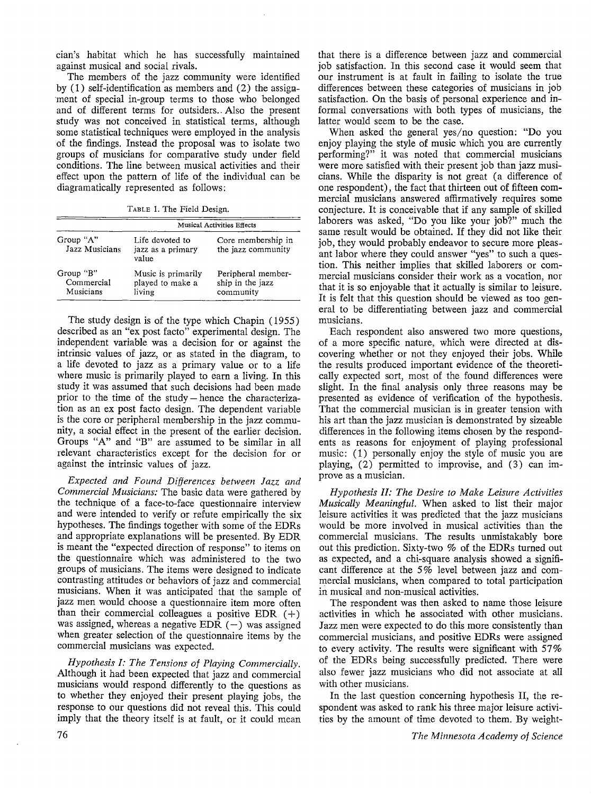cian's habitat which he has successfully maintained against musical and social rivals.

The members of the jazz community were identified by  $(1)$  self-identification as members and  $(2)$  the assignment of special in-group terms to those who belonged and of different terms for outsiders. Also the present study was not conceived in statistical terms, although some statistical techniques were employed in the analysis of the findings. Instead the proposal was to isolate two groups of musicians for comparative study under field conditions. The line between musical activities and their effect upon the pattern of life of the individual can be diagramatically represented as follows:

TABLE 1. The Field Design.

|                                      | <b>Musical Activities Effects</b>                |                                                     |  |
|--------------------------------------|--------------------------------------------------|-----------------------------------------------------|--|
| Group "A"<br>Jazz Musicians          | Life devoted to<br>jazz as a primary<br>value    | Core membership in<br>the jazz community            |  |
| Group "B"<br>Commercial<br>Musicians | Music is primarily<br>played to make a<br>living | Peripheral member-<br>ship in the jazz<br>community |  |

The study design is of the type which Chapin (1955) described as an "ex post facto" experimental design. The independent variable was a decision for or against the intrinsic values of jazz, or as stated in the diagram, to a life devoted to jazz as a primary value or to a life where music is primarily played to earn a living. In this study it was assumed that such decisions had been made prior to the time of the study - hence the characterization as an ex post facto design. The dependent variable is the core or peripheral membership in the jazz community, a social effect in the present of the earlier decision. Groups "A" and "B" are assumed to be similar in all relevant characteristics except for the decision for or against the intrinsic values of jazz.

*Expected and Found Differences between Jazz and Commercial Musicians:* The basic data were gathered by the technique of a face-to-face questionnaire interview and were intended to verify or refute empirically the six hypotheses. The findings together with some of the EDRs and appropriate explanations will be presented. By EDR is meant the "expected direction of response" to items on the questionnaire which was administered to the two groups of musicians. The items were designed to indicate contrasting attitudes or behaviors of jazz and commercial musicians. When it was anticipated that the sample of jazz men would choose a questionnaire item more often than their commercial colleagues a positive EDR  $(+)$ was assigned, whereas a negative EDR  $(-)$  was assigned when greater selection of the questionnaire items by the commercial musicians was expected.

*Hypothesis I: The Tensions of Playing Commercially.*  Although it had been expected that jazz and commercial musicians would respond differently to the questions as to whether they enjoyed their present playing jobs, the response to our questions did not reveal this. This could imply that the theory itself is at fault, or it could mean

that there is a difference between jazz and commercial job satisfaction. In this second case it would seem that our instrument is at fault in failing to isolate the true differences between these categories of musicians in job satisfaction. On the basis of personal experience and informal conversations with both types of musicians, the latter would seem to be the case.

When asked the general yes/no question: "Do you enjoy playing the style of music which you are currently performing?" it was noted that commercial musicians were more satisfied with their present job than jazz musicians. While the disparity is not great (a difference of one respondent), the fact that thirteen out of fifteen commercial musicians answered affirmatively requires some conjecture. It is conceivable that if any sample of skilled laborers was asked, "Do you like your job?" much the same result would be obtained. If they did not like their job, they would probably endeavor to secure more pleasant labor where they could answer "yes" to such a question. This neither implies that skilled laborers or commercial musicians consider their work as a vocation, nor that it is so enjoyable that it actually is similar to leisure. It is felt that this question should be viewed as too general to be differentiating between jazz and commercial musicians.

Each respondent also answered two more questions, of a more specific nature, which were directed at discovering whether or not they enjoyed their jobs. While the results produced important evidence of the theoretically expected sort, most of the found differences were slight. In the final analysis only three reasons may be presented as evidence of verification of the hypothesis. That the commercial musician is in greater tension with his art than the jazz musician is demonstrated by sizeable differences in the following items chosen by the respondents as reasons for enjoyment of playing professional music: (1) personally enjoy the style of music you are playing, (2) permitted to improvise, and (3) can improve as a musician.

*Hypothesis II: The Desire to Make Leisure Activities Musically Meaningful.* When asked to list their major leisure activities it was predicted that the jazz musicians would be more involved in musical activities than the commercial musicians. The results unmistakably bore out this prediction. Sixty-two % of the EDRs turned out as expected, and a chi-square analysis showed a significant difference at the 5% level between jazz and commercial musicians, when compared to total participation in musical and non-musical activities.

The respondent was then asked to name those leisure activities in which he associated with other musicians. Jazz men were expected to do this more consistently than commercial musicians, and positive EDRs were assigned to every activity. The results were significant with  $57\%$ of the EDRs being successfully predicted. There were also fewer jazz musicians who did not associate at all with other musicians.

In the last question concerning hypothesis II, the respondent was asked to rank his three major leisure activities by the amount of time devoted to them. By weight-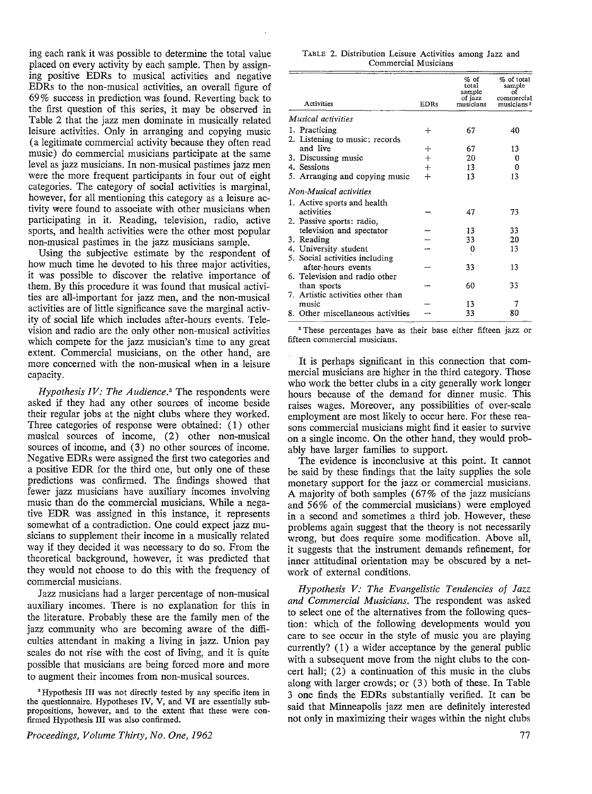ing each rank it was possible to determine the total value placed on every activity by each sample. Then by assigning positive EDRs to musical activities and negative EDRs to the non-musical activities, an overall figure of 69 % success in prediction was found. Reverting back to the first question of this series, it may be observed in Table 2 that the jazz men dominate in musically related leisure activities. Only in arranging and copying music (a legitimate commercial activity because they often read music) do commercial musicians participate at the same level as jazz musicians. In non-musical pastimes jazz men were the more frequent participants in four out of eight categories. The category of social activities is marginal, however, for all mentioning this category as a leisure activity were found to associate with other musicians when participating in it. Reading, television, radio, active sports, and health activities were the other most popular non-musical pastimes in the jazz musicians sample.

Using the subjective estimate by the respondent of how much time he devoted to his three major activities, it was possible to discover the relative importance of them. By this procedure it was found that musical activities are all-important for jazz men, and the non-musical activities are of little significance save the marginal activity of social life which includes after-hours events. Television and radio are the only other non-musical activities which compete for the jazz musician's time to any great extent. Commercial musicians, on the other hand, are more concerned with the non-musical when in a leisure capacity.

*Hypothesis IV: The Audience.*3 The respondents were asked if they had any other sources of income beside their regular jobs at the night clubs where they worked. Three categories of response were obtained: (1) other musical sources of income, (2) other non-musical sources of income, and (3) no other sources of income. Negative EDRs were assigned the first two categories and a positive EDR for the third one, but only one of these predictions was confirmed. The findings showed that fewer jazz musicians have auxiliary incomes involving music than do the commercial musicians. While a negative EDR was assigned in this instance, it represents somewhat of a contradiction. One could expect jazz musicians to supplement their income in a musically related way if they decided it was necessary to do so. From the theoretical background, however, it was predicted that they would not choose to do this with the frequency of commercial musicians.

Jazz musicians had a larger percentage of non-musical auxiliary incomes. There is no explanation for this in the literature. Probably these are the family men of the jazz community who are becoming aware of the difficulties attendant in making a living in jazz. Union pay scales do not rise with the cost of living, and it is quite possible that musicians are being forced more and more to augment their incomes from non-musical sources.

<sup>3</sup>Hypothesis III was not directly tested by any specific item in the questionnaire. Hypotheses **IV, V,** and **VI** are essentially subpropositions, however, and to the extent that these were confirmed Hypothesis III was also confirmed.

TABLE 2. Distribution Leisure Activities among Jazz and Commercial Musicians

| Activities                        | <b>EDRs</b> | $%$ of<br>total<br>sample<br>of jazz<br>musicians | % of total<br>sample<br>commercial<br>musicians <sup>3</sup> |
|-----------------------------------|-------------|---------------------------------------------------|--------------------------------------------------------------|
| Musical activities                |             |                                                   |                                                              |
| 1. Practicing                     | ┿           | 67                                                | 40                                                           |
| 2. Listening to music: records    |             |                                                   |                                                              |
| and live                          | ┿           | 67                                                | 13                                                           |
| 3. Discussing music               | $^{+}$      | 20                                                | 0                                                            |
| 4. Sessions                       | $^{+}$      | 13                                                | 0                                                            |
| 5. Arranging and copying music    | $+$         | 13                                                | 13                                                           |
| Non-Musical activities            |             |                                                   |                                                              |
| 1. Active sports and health       |             |                                                   |                                                              |
| activities                        |             | 47                                                | 73                                                           |
| 2. Passive sports: radio,         |             |                                                   |                                                              |
| television and spectator          |             | 13                                                | 33                                                           |
| 3. Reading                        |             | 33                                                | 20                                                           |
| 4. University student             |             | 0                                                 | 13                                                           |
| 5. Social activities including    |             |                                                   |                                                              |
| after-hours events                |             | 33                                                | 13                                                           |
| 6. Television and radio other     |             |                                                   |                                                              |
| than sports                       |             | 60                                                | 33                                                           |
| 7. Artistic activities other than |             |                                                   |                                                              |
| music                             |             | 13                                                | 7                                                            |
| 8. Other miscellaneous activities |             | 33                                                | 80                                                           |

<sup>2</sup>These percentages have as their base either fifteen jazz or fifteen commercial musicians.

It is perhaps significant in this connection that commercial musicians are higher in the third category. Those who work the better clubs in a city generally work longer hours because of the demand for dinner music. This raises wages. Moreover, any possibilities of over-scale employment are most likely to occur here. For these reasons commercial musicians might find it easier to survive on a single income. On the other hand, they would probably have larger families to support.

The evidence is inconclusive at this point. It cannot be said by these findings that the laity supplies the sole monetary support for the jazz or commercial musicians. A majority of both samples (67% of the jazz musicians and 56% of the commercial musicians) were employed in a second and sometimes a third job. However, these problems again suggest that the theory is not necessarily wrong, but does require some modification. Above all, it suggests that the instrument demands refinement, for inner attitudinal orientation may be obscured by a network of external conditions.

*Hypothesis V: The Evangelistic Tendencies of Jazz and Commercial Musicians.* The respondent was asked to select one of the alternatives from the following question: which of the following developments would you care to see occur in the style of music you are playing currently? ( 1) a wider acceptance by the general public with a subsequent move from the night clubs to the concert hall; (2) a continuation of this music in the clubs along with larger crowds; or (3) both of these. In Table 3 one finds the EDRs substantially verified. It can be said that Minneapolis jazz men are definitely interested not only in maximizing their wages within the night clubs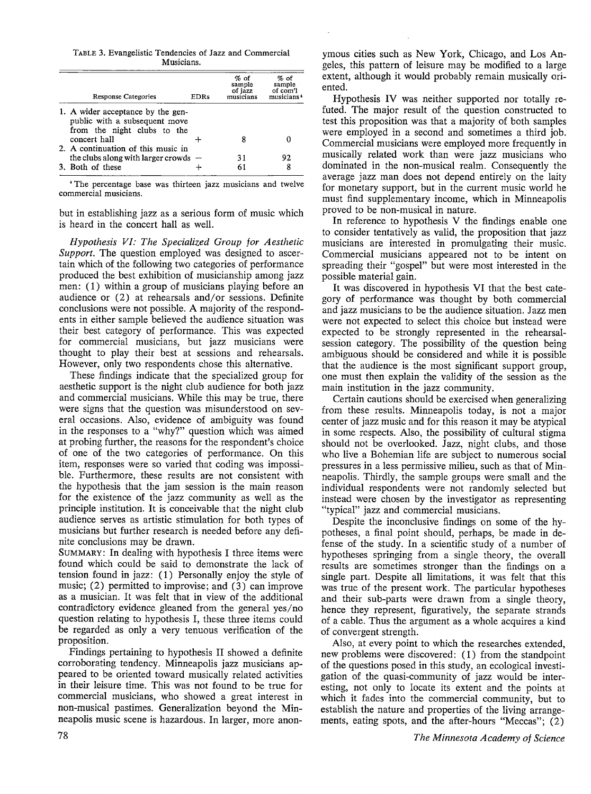TABLE 3. Evangelistic Tendencies of Jazz and Commercial Musicians.

| <b>Response Categories</b>                                                                                        | <b>EDRs</b> | $%$ of<br>sample<br>of jazz<br>musicians | $%$ of<br>sample<br>of com'l<br>musicians <sup>4</sup> |
|-------------------------------------------------------------------------------------------------------------------|-------------|------------------------------------------|--------------------------------------------------------|
| 1. A wider acceptance by the gen-<br>public with a subsequent move<br>from the night clubs to the<br>concert hall |             |                                          |                                                        |
| 2. A continuation of this music in                                                                                |             |                                          |                                                        |
| the clubs along with larger crowds $-$                                                                            |             | 31                                       | 92                                                     |
| 3. Both of these                                                                                                  |             | 61                                       |                                                        |

• The percentage base was thirteen jazz musicians and twelve commercial musicians.

but in establishing jazz as a serious form of music which is heard in the concert hall as well.

*Hypothesis VI: The Specialized Group for Aesthetic Support.* The question employed was designed to ascertain which of the following two categories of performance produced the best exhibition of musicianship among jazz men: (1) within a group of musicians playing before an audience or (2) at rehearsals and/or sessions. Definite conclusions were not possible. A majority of the respondents in either sample believed the audience situation was their best category of performance. This was expected for commercial musicians, but jazz musicians were thought to play their best at sessions and rehearsals. However, only two respondents chose this alternative.

These findings indicate that the specialized group for aesthetic support is the night club audience for both jazz and commercial musicians. While this may be true, there were signs that the question was misunderstood on several occasions. Also, evidence of ambiguity was found in the responses to a "why?" question which was aimed at probing further, the reasons for the respondent's choice of one of the two categories of performance. On this item, responses were so varied that coding was impossible. Furthermore, these results are not consistent with the hypothesis that the jam session is the main reason for the existence of the jazz community as well as the principle institution. It is conceivable that the night club audience serves as artistic stimulation for both types of musicians but further research is needed before any definite conclusions may be drawn.

SUMMARY: In dealing with hypothesis I three items were found which could be said to demonstrate the lack of tension found in jazz: (1) Personally enjoy the style of music; (2) permitted to improvise; and (3) can improve as a musician. It was felt that in view of the additional contradictory evidence gleaned from the general yes/no question relating to hypothesis I, these three items could be regarded as only a very tenuous verification of the proposition.

Findings pertaining to hypothesis II showed a definite corroborating tendency. Minneapolis jazz musicians appeared to be oriented toward musically related activities in their leisure time. This was not found to be true for commercial musicians, who showed a great interest in non-musical pastimes. Generalization beyond the Minneapolis music scene is hazardous. In larger, more anonymous cities such as New York, Chicago, and Los Angeles, this pattern of leisure may be modified to a large extent, although it would probably remain musically oriented.

Hypothesis IV was neither supported nor totally refuted. The major result of the question constructed to test this proposition was that a majority of both samples were employed in a second and sometimes a third job. Commercial musicians were employed more frequently in musically related work than were jazz musicians who dominated in the non-musical realm. Consequently the average jazz man does not depend entirely on the laity for monetary support, but in the current music world he must find supplementary income, which in Minneapolis proved to be non-musical in nature.

In reference to hypothesis V the findings enable one to consider tentatively as valid, the proposition that jazz musicians are interested in promulgating their music. Commercial musicians appeared not to be intent on spreading their "gospel" but were most interested in the possible material gain.

It was discovered in hypothesis VI that the best category of performance was thought by both commercial and jazz musicians to be the audience situation. Jazz men were not expected to select this choice but instead were expected to be strongly represented in the rehearsalsession category. The possibility of the question being ambiguous should be considered and while it is possible that the audience is the most significant support group, one must then explain the validity of the session as the main institution in the jazz community.

Certain cautions should be exercised when generalizing from these results. Minneapolis today, is not a major center of jazz music and for this reason it may be atypical in some respects. Also, the possibility of cultural stigma should not be overlooked. Jazz, night clubs, and those who live a Bohemian life are subject to numerous social pressures in a less permissive milieu, such as that of Minneapolis. Thirdly, the sample groups were small and the individual respondents were not randomly selected but instead were chosen by the investigator as representing "typical" jazz and commercial musicians.

Despite the inconclusive findings on some of the hypotheses, a final point should, perhaps, be made in defense of the study. In a scientific study of a number of hypotheses springing from a single theory, the overall results are sometimes stronger than the findings on a single part. Despite all limitations, it was felt that this was true of the present work. The particular hypotheses and their sub-parts were drawn from a single theory, hence they represent, figuratively, the separate strands of a cable. Thus the argument as a whole acquires a kind of convergent strength.

Also, at every point to which the researches extended, new problems were discovered: (1) from the standpoint of the questions posed in this study, an ecological investigation of the quasi-community of jazz would be interesting, not only to locate its extent and the points at which it fades into the commercial community, but to establish the nature and properties of the living arrangements, eating spots, and the after-hours "Meccas"; (2)